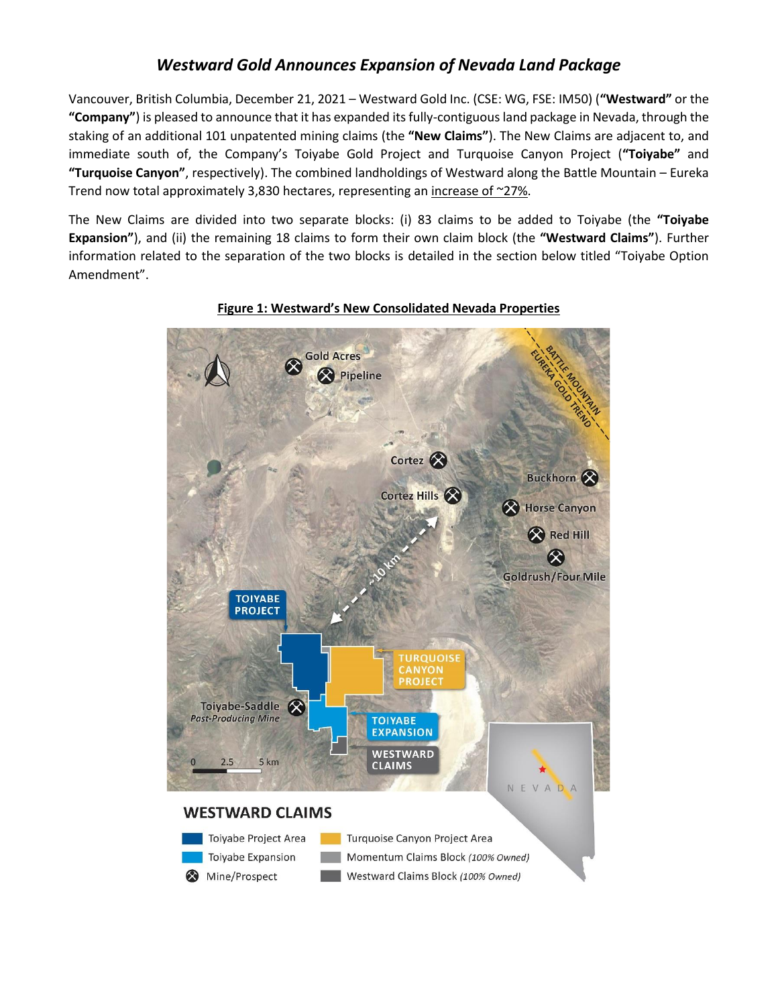# *Westward Gold Announces Expansion of Nevada Land Package*

Vancouver, British Columbia, December 21, 2021 – Westward Gold Inc. (CSE: WG, FSE: IM50) (**"Westward"** or the **"Company"**) is pleased to announce that it has expanded its fully-contiguous land package in Nevada, through the staking of an additional 101 unpatented mining claims (the **"New Claims"**). The New Claims are adjacent to, and immediate south of, the Company's Toiyabe Gold Project and Turquoise Canyon Project (**"Toiyabe"** and **"Turquoise Canyon"**, respectively). The combined landholdings of Westward along the Battle Mountain – Eureka Trend now total approximately 3,830 hectares, representing an increase of ~27%.

The New Claims are divided into two separate blocks: (i) 83 claims to be added to Toiyabe (the **"Toiyabe Expansion"**), and (ii) the remaining 18 claims to form their own claim block (the **"Westward Claims"**). Further information related to the separation of the two blocks is detailed in the section below titled "Toiyabe Option Amendment".



**Figure 1: Westward's New Consolidated Nevada Properties**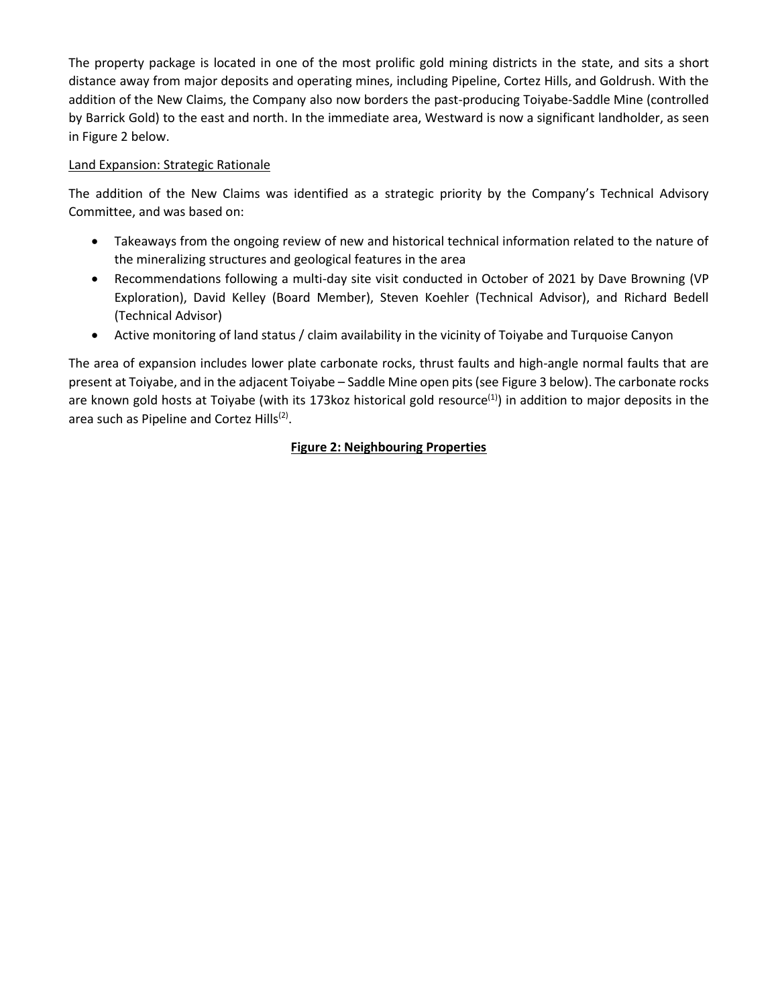The property package is located in one of the most prolific gold mining districts in the state, and sits a short distance away from major deposits and operating mines, including Pipeline, Cortez Hills, and Goldrush. With the addition of the New Claims, the Company also now borders the past-producing Toiyabe-Saddle Mine (controlled by Barrick Gold) to the east and north. In the immediate area, Westward is now a significant landholder, as seen in Figure 2 below.

### Land Expansion: Strategic Rationale

The addition of the New Claims was identified as a strategic priority by the Company's Technical Advisory Committee, and was based on:

- Takeaways from the ongoing review of new and historical technical information related to the nature of the mineralizing structures and geological features in the area
- Recommendations following a multi-day site visit conducted in October of 2021 by Dave Browning (VP Exploration), David Kelley (Board Member), Steven Koehler (Technical Advisor), and Richard Bedell (Technical Advisor)
- Active monitoring of land status / claim availability in the vicinity of Toiyabe and Turquoise Canyon

The area of expansion includes lower plate carbonate rocks, thrust faults and high-angle normal faults that are present at Toiyabe, and in the adjacent Toiyabe – Saddle Mine open pits (see Figure 3 below). The carbonate rocks are known gold hosts at Toiyabe (with its 173 koz historical gold resource<sup>(1)</sup>) in addition to major deposits in the area such as Pipeline and Cortez Hills<sup>(2)</sup>.

## **Figure 2: Neighbouring Properties**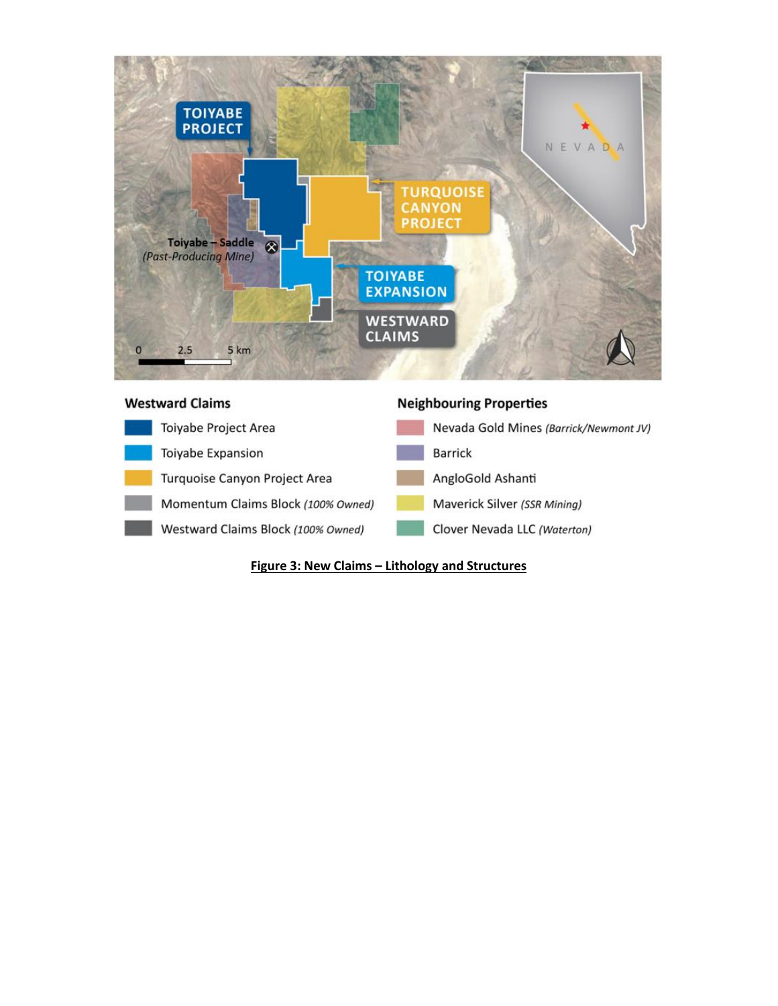



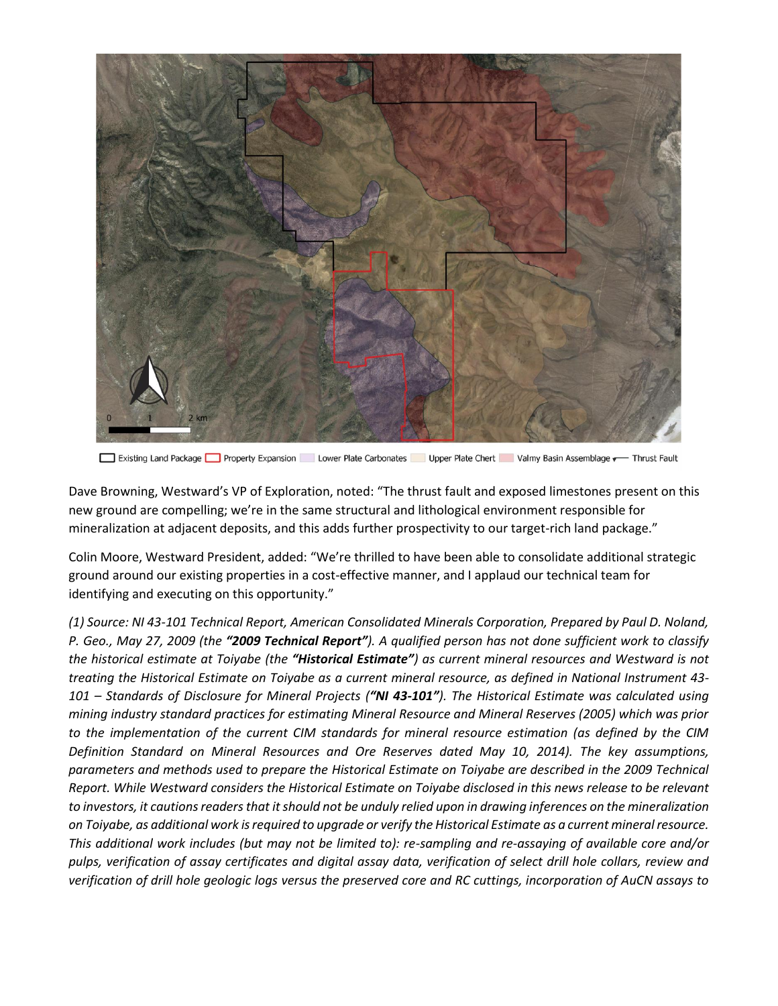

Existing Land Package Property Expansion Lower Plate Carbonates Upper Plate Chert Valmy Basin Assemblage v Thrust Fault

Dave Browning, Westward's VP of Exploration, noted: "The thrust fault and exposed limestones present on this new ground are compelling; we're in the same structural and lithological environment responsible for mineralization at adjacent deposits, and this adds further prospectivity to our target-rich land package."

Colin Moore, Westward President, added: "We're thrilled to have been able to consolidate additional strategic ground around our existing properties in a cost-effective manner, and I applaud our technical team for identifying and executing on this opportunity."

*(1) Source: NI 43-101 Technical Report, American Consolidated Minerals Corporation, Prepared by Paul D. Noland, P. Geo., May 27, 2009 (the "2009 Technical Report"). A qualified person has not done sufficient work to classify the historical estimate at Toiyabe (the "Historical Estimate") as current mineral resources and Westward is not treating the Historical Estimate on Toiyabe as a current mineral resource, as defined in National Instrument 43- 101 – Standards of Disclosure for Mineral Projects ("NI 43-101"). The Historical Estimate was calculated using mining industry standard practices for estimating Mineral Resource and Mineral Reserves (2005) which was prior to the implementation of the current CIM standards for mineral resource estimation (as defined by the CIM Definition Standard on Mineral Resources and Ore Reserves dated May 10, 2014). The key assumptions, parameters and methods used to prepare the Historical Estimate on Toiyabe are described in the 2009 Technical Report. While Westward considers the Historical Estimate on Toiyabe disclosed in this news release to be relevant*  to investors, it cautions readers that it should not be unduly relied upon in drawing inferences on the mineralization *on Toiyabe, as additional work is required to upgrade or verify the Historical Estimate as a current mineral resource. This additional work includes (but may not be limited to): re-sampling and re-assaying of available core and/or pulps, verification of assay certificates and digital assay data, verification of select drill hole collars, review and verification of drill hole geologic logs versus the preserved core and RC cuttings, incorporation of AuCN assays to*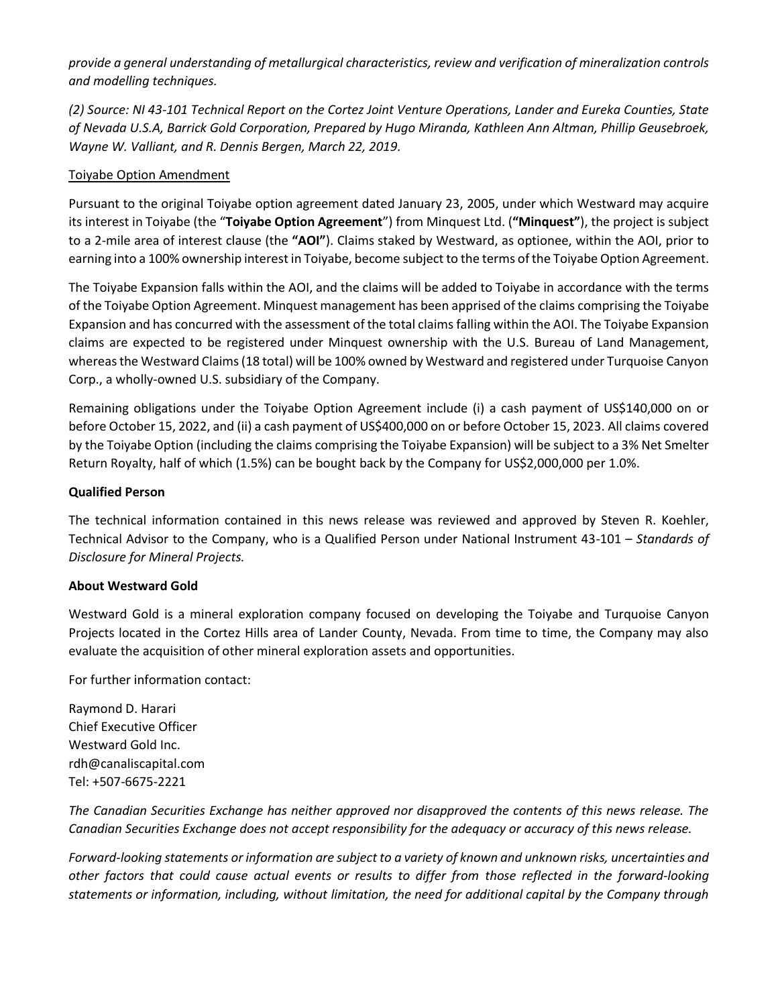*provide a general understanding of metallurgical characteristics, review and verification of mineralization controls and modelling techniques.*

*(2) Source: NI 43-101 Technical Report on the Cortez Joint Venture Operations, Lander and Eureka Counties, State of Nevada U.S.A, Barrick Gold Corporation, Prepared by Hugo Miranda, Kathleen Ann Altman, Phillip Geusebroek, Wayne W. Valliant, and R. Dennis Bergen, March 22, 2019.*

#### Toiyabe Option Amendment

Pursuant to the original Toiyabe option agreement dated January 23, 2005, under which Westward may acquire its interest in Toiyabe (the "**Toiyabe Option Agreement**") from Minquest Ltd. (**"Minquest"**), the project is subject to a 2-mile area of interest clause (the **"AOI"**). Claims staked by Westward, as optionee, within the AOI, prior to earning into a 100% ownership interest in Toiyabe, become subject to the terms of the Toiyabe Option Agreement.

The Toiyabe Expansion falls within the AOI, and the claims will be added to Toiyabe in accordance with the terms of the Toiyabe Option Agreement. Minquest management has been apprised of the claims comprising the Toiyabe Expansion and has concurred with the assessment of the total claims falling within the AOI. The Toiyabe Expansion claims are expected to be registered under Minquest ownership with the U.S. Bureau of Land Management, whereas the Westward Claims (18 total) will be 100% owned by Westward and registered under Turquoise Canyon Corp., a wholly-owned U.S. subsidiary of the Company.

Remaining obligations under the Toiyabe Option Agreement include (i) a cash payment of US\$140,000 on or before October 15, 2022, and (ii) a cash payment of US\$400,000 on or before October 15, 2023. All claims covered by the Toiyabe Option (including the claims comprising the Toiyabe Expansion) will be subject to a 3% Net Smelter Return Royalty, half of which (1.5%) can be bought back by the Company for US\$2,000,000 per 1.0%.

#### **Qualified Person**

The technical information contained in this news release was reviewed and approved by Steven R. Koehler, Technical Advisor to the Company, who is a Qualified Person under National Instrument 43-101 – *Standards of Disclosure for Mineral Projects.*

#### **About Westward Gold**

Westward Gold is a mineral exploration company focused on developing the Toiyabe and Turquoise Canyon Projects located in the Cortez Hills area of Lander County, Nevada. From time to time, the Company may also evaluate the acquisition of other mineral exploration assets and opportunities.

For further information contact:

Raymond D. Harari Chief Executive Officer Westward Gold Inc. rdh@canaliscapital.com Tel: +507-6675-2221

*The Canadian Securities Exchange has neither approved nor disapproved the contents of this news release. The Canadian Securities Exchange does not accept responsibility for the adequacy or accuracy of this news release.*

*Forward-looking statements or information are subject to a variety of known and unknown risks, uncertainties and other factors that could cause actual events or results to differ from those reflected in the forward-looking statements or information, including, without limitation, the need for additional capital by the Company through*